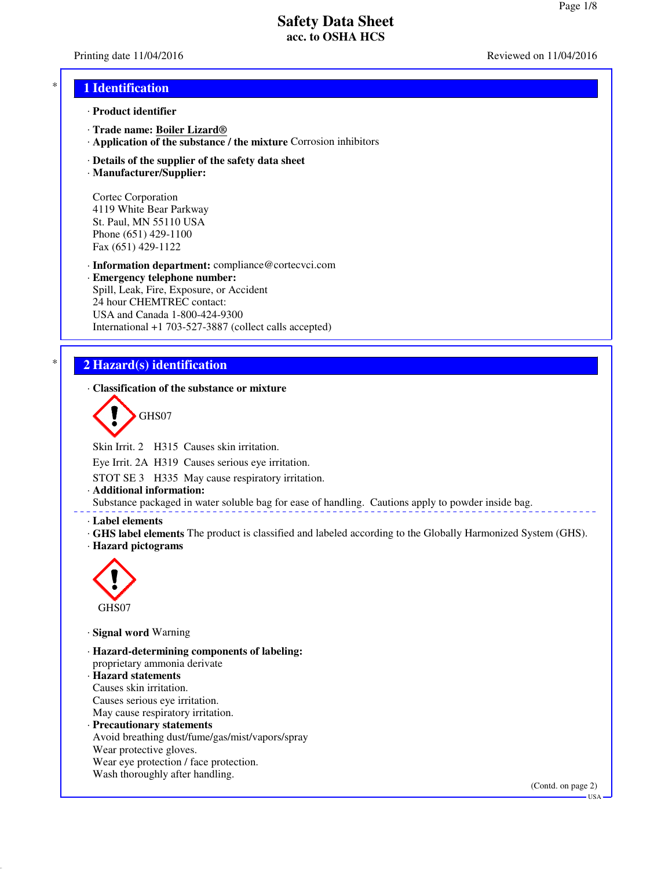Printing date 11/04/2016 **Reviewed on 11/04/2016** Reviewed on 11/04/2016

### \* **1 Identification**

- · **Product identifier**
- · **Trade name: Boiler Lizard®**
- · **Application of the substance / the mixture** Corrosion inhibitors
- · **Details of the supplier of the safety data sheet**
- · **Manufacturer/Supplier:**

Cortec Corporation 4119 White Bear Parkway St. Paul, MN 55110 USA Phone (651) 429-1100 Fax (651) 429-1122

· **Information department:** compliance@cortecvci.com · **Emergency telephone number:** Spill, Leak, Fire, Exposure, or Accident 24 hour CHEMTREC contact: USA and Canada 1-800-424-9300

International +1 703-527-3887 (collect calls accepted)

## \* **2 Hazard(s) identification**

· **Classification of the substance or mixture**

GHS07

Skin Irrit. 2 H315 Causes skin irritation.

Eye Irrit. 2A H319 Causes serious eye irritation.

STOT SE 3 H335 May cause respiratory irritation.

· **Additional information:**

Substance packaged in water soluble bag for ease of handling. Cautions apply to powder inside bag.

#### · **Label elements**

- · **GHS label elements** The product is classified and labeled according to the Globally Harmonized System (GHS).
- · **Hazard pictograms**



· **Signal word** Warning

- · **Hazard-determining components of labeling:** proprietary ammonia derivate · **Hazard statements**
- Causes skin irritation. Causes serious eye irritation. May cause respiratory irritation.
- · **Precautionary statements** Avoid breathing dust/fume/gas/mist/vapors/spray Wear protective gloves. Wear eye protection / face protection. Wash thoroughly after handling.

(Contd. on page 2)

USA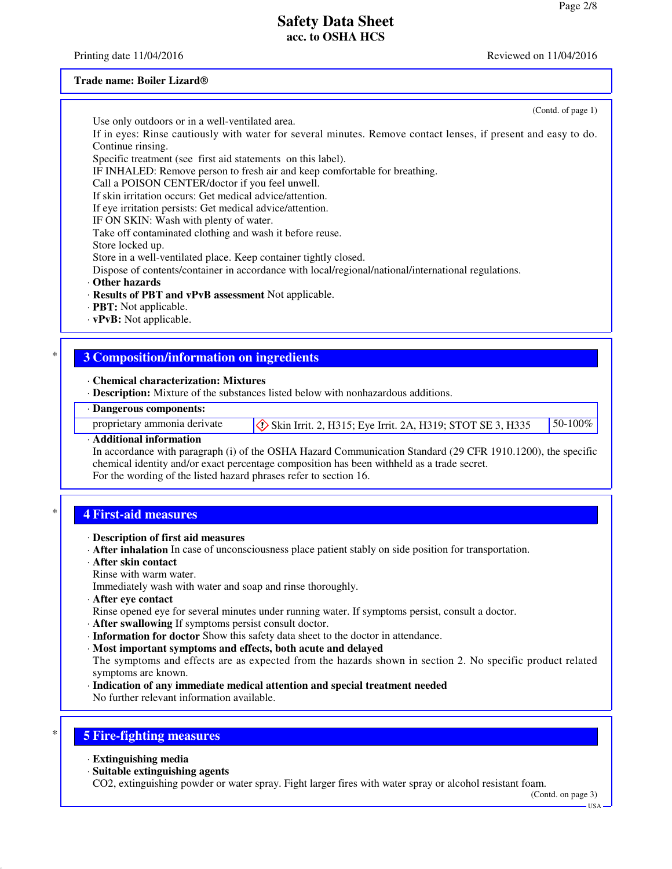Printing date 11/04/2016 **Reviewed on 11/04/2016** Reviewed on 11/04/2016

#### **Trade name: Boiler Lizard®**

(Contd. of page 1)

Use only outdoors or in a well-ventilated area.

If in eyes: Rinse cautiously with water for several minutes. Remove contact lenses, if present and easy to do. Continue rinsing.

Specific treatment (see first aid statements on this label).

IF INHALED: Remove person to fresh air and keep comfortable for breathing.

Call a POISON CENTER/doctor if you feel unwell.

If skin irritation occurs: Get medical advice/attention.

If eye irritation persists: Get medical advice/attention.

IF ON SKIN: Wash with plenty of water.

Take off contaminated clothing and wash it before reuse.

Store locked up.

Store in a well-ventilated place. Keep container tightly closed.

Dispose of contents/container in accordance with local/regional/national/international regulations.

- · **Other hazards**
- · **Results of PBT and vPvB assessment** Not applicable.
- · **PBT:** Not applicable.
- · **vPvB:** Not applicable.

## \* **3 Composition/information on ingredients**

· **Chemical characterization: Mixtures**

· **Description:** Mixture of the substances listed below with nonhazardous additions.

### · **Dangerous components:**

proprietary ammonia derivate  $\Diamond$  Skin Irrit. 2, H315; Eye Irrit. 2A, H319; STOT SE 3, H335 50-100%

#### · **Additional information**

In accordance with paragraph (i) of the OSHA Hazard Communication Standard (29 CFR 1910.1200), the specific chemical identity and/or exact percentage composition has been withheld as a trade secret. For the wording of the listed hazard phrases refer to section 16.

### \* **4 First-aid measures**

- · **Description of first aid measures**
- · **After inhalation** In case of unconsciousness place patient stably on side position for transportation.
- · **After skin contact**
- Rinse with warm water.

Immediately wash with water and soap and rinse thoroughly.

- · **After eye contact**
- Rinse opened eye for several minutes under running water. If symptoms persist, consult a doctor.
- · **After swallowing** If symptoms persist consult doctor.
- · **Information for doctor** Show this safety data sheet to the doctor in attendance.
- · **Most important symptoms and effects, both acute and delayed**

The symptoms and effects are as expected from the hazards shown in section 2. No specific product related symptoms are known.

· **Indication of any immediate medical attention and special treatment needed** No further relevant information available.

# \* **5 Fire-fighting measures**

- · **Extinguishing media**
- · **Suitable extinguishing agents**

CO2, extinguishing powder or water spray. Fight larger fires with water spray or alcohol resistant foam.

(Contd. on page 3)

USA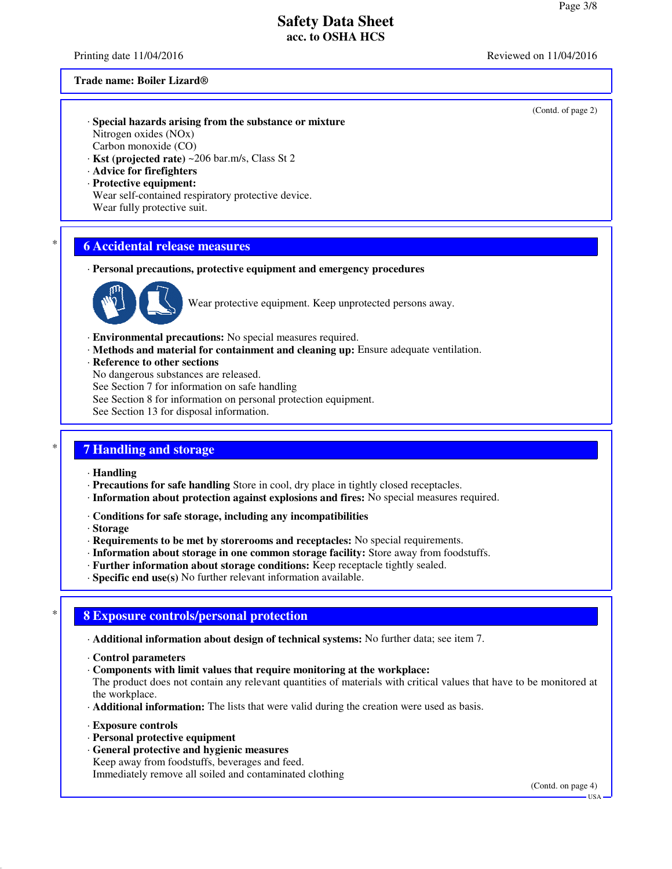Printing date 11/04/2016 **Reviewed on 11/04/2016** Reviewed on 11/04/2016

#### **Trade name: Boiler Lizard®**

- · **Special hazards arising from the substance or mixture** Nitrogen oxides (NOx) Carbon monoxide (CO) · **Kst (projected rate)** ~206 bar.m/s, Class St 2
- · **Advice for firefighters**
- 
- · **Protective equipment:** Wear self-contained respiratory protective device. Wear fully protective suit.

### \* **6 Accidental release measures**

· **Personal precautions, protective equipment and emergency procedures**



Wear protective equipment. Keep unprotected persons away.

- · **Environmental precautions:** No special measures required.
- · **Methods and material for containment and cleaning up:** Ensure adequate ventilation.
- · **Reference to other sections**
- No dangerous substances are released.
- See Section 7 for information on safe handling
- See Section 8 for information on personal protection equipment.
- See Section 13 for disposal information.

### \* **7 Handling and storage**

- · **Handling**
- · **Precautions for safe handling** Store in cool, dry place in tightly closed receptacles.
- · **Information about protection against explosions and fires:** No special measures required.
- · **Conditions for safe storage, including any incompatibilities**
- · **Storage**
- · **Requirements to be met by storerooms and receptacles:** No special requirements.
- · **Information about storage in one common storage facility:** Store away from foodstuffs.
- · **Further information about storage conditions:** Keep receptacle tightly sealed.
- · **Specific end use(s)** No further relevant information available.

### \* **8 Exposure controls/personal protection**

- · **Additional information about design of technical systems:** No further data; see item 7.
- · **Control parameters**
- · **Components with limit values that require monitoring at the workplace:**

The product does not contain any relevant quantities of materials with critical values that have to be monitored at the workplace.

- · **Additional information:** The lists that were valid during the creation were used as basis.
- · **Exposure controls**
- · **Personal protective equipment**
- · **General protective and hygienic measures** Keep away from foodstuffs, beverages and feed. Immediately remove all soiled and contaminated clothing

(Contd. on page 4)

(Contd. of page 2)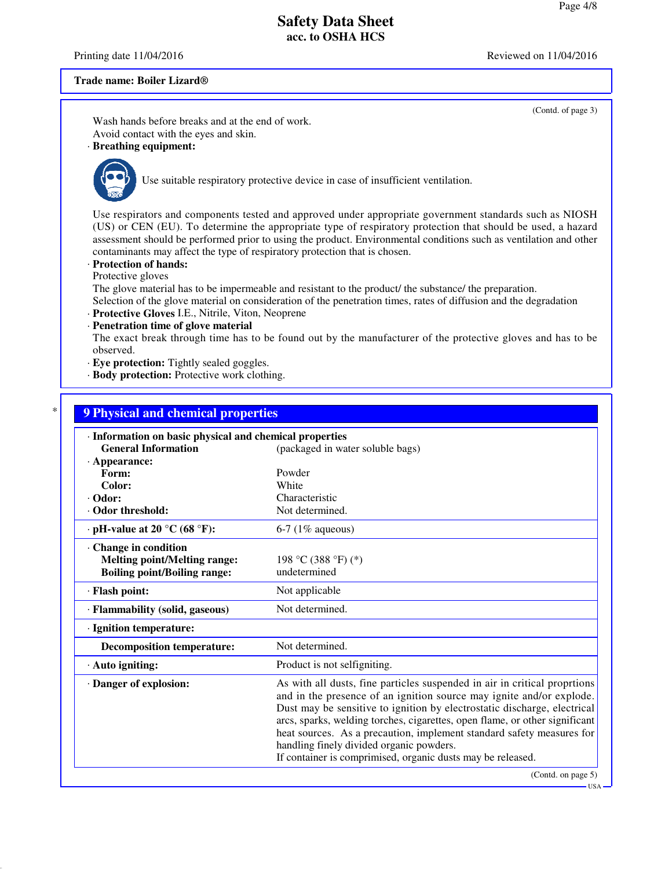(Contd. of page 3)

## **Safety Data Sheet acc. to OSHA HCS**

Printing date 11/04/2016 **Reviewed on 11/04/2016** Reviewed on 11/04/2016

#### **Trade name: Boiler Lizard®**

Wash hands before breaks and at the end of work. Avoid contact with the eyes and skin.

## · **Breathing equipment:**



Use suitable respiratory protective device in case of insufficient ventilation.

Use respirators and components tested and approved under appropriate government standards such as NIOSH (US) or CEN (EU). To determine the appropriate type of respiratory protection that should be used, a hazard assessment should be performed prior to using the product. Environmental conditions such as ventilation and other contaminants may affect the type of respiratory protection that is chosen.

· **Protection of hands:**

Protective gloves

The glove material has to be impermeable and resistant to the product/ the substance/ the preparation. Selection of the glove material on consideration of the penetration times, rates of diffusion and the degradation

· **Protective Gloves** I.E., Nitrile, Viton, Neoprene

· **Penetration time of glove material**

The exact break through time has to be found out by the manufacturer of the protective gloves and has to be observed.

- · **Eye protection:** Tightly sealed goggles.
- · **Body protection:** Protective work clothing.

# \* **9 Physical and chemical properties** · **Information on basic physical and chemical properties General Information** (packaged in water soluble bags) · **Appearance: Form:** Powder Powder Powder Powder **Color:** · **Odor:** Characteristic · Odor threshold: Not determined. • **pH-value at 20 °C (68 °F):** 6-7 (1% aqueous) · **Change in condition Melting point/Melting range:** 198 °C (388 °F) (\*) **Boiling point/Boiling range:** undetermined · **Flash point:** Not applicable · **Flammability (solid, gaseous)** Not determined. · **Ignition temperature: Decomposition temperature:** Not determined. · **Auto igniting:** Product is not selfigniting. · **Danger of explosion:** As with all dusts, fine particles suspended in air in critical proprtions and in the presence of an ignition source may ignite and/or explode. Dust may be sensitive to ignition by electrostatic discharge, electrical arcs, sparks, welding torches, cigarettes, open flame, or other significant heat sources. As a precaution, implement standard safety measures for handling finely divided organic powders.

If container is comprimised, organic dusts may be released.

(Contd. on page 5)

USA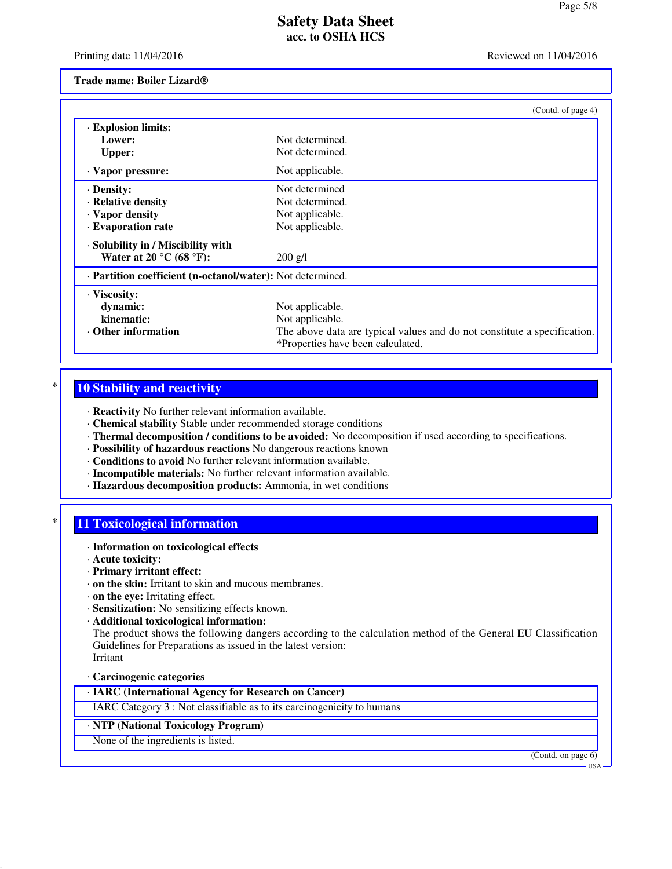Printing date 11/04/2016 **Reviewed on 11/04/2016** Reviewed on 11/04/2016

#### **Trade name: Boiler Lizard®**

|                                                            | (Contd. of page 4)                                                                                            |
|------------------------------------------------------------|---------------------------------------------------------------------------------------------------------------|
| · Explosion limits:                                        |                                                                                                               |
| Lower:                                                     | Not determined.                                                                                               |
| Upper:                                                     | Not determined.                                                                                               |
| · Vapor pressure:                                          | Not applicable.                                                                                               |
| · Density:                                                 | Not determined                                                                                                |
| · Relative density                                         | Not determined.                                                                                               |
| · Vapor density                                            | Not applicable.                                                                                               |
| · Evaporation rate                                         | Not applicable.                                                                                               |
| · Solubility in / Miscibility with                         |                                                                                                               |
| Water at 20 $\rm{^{\circ}C}$ (68 $\rm{^{\circ}F}$ ):       | $200$ g/l                                                                                                     |
| · Partition coefficient (n-octanol/water): Not determined. |                                                                                                               |
| · Viscosity:                                               |                                                                                                               |
| dynamic:                                                   | Not applicable.                                                                                               |
| kinematic:                                                 | Not applicable.                                                                                               |
| $\cdot$ Other information                                  | The above data are typical values and do not constitute a specification.<br>*Properties have been calculated. |

## **10 Stability and reactivity**

· **Reactivity** No further relevant information available.

- · **Chemical stability** Stable under recommended storage conditions
- · **Thermal decomposition / conditions to be avoided:** No decomposition if used according to specifications.
- · **Possibility of hazardous reactions** No dangerous reactions known
- · **Conditions to avoid** No further relevant information available.
- · **Incompatible materials:** No further relevant information available.
- · **Hazardous decomposition products:** Ammonia, in wet conditions

### **11 Toxicological information**

- · **Information on toxicological effects**
- · **Acute toxicity:**
- · **Primary irritant effect:**
- · **on the skin:** Irritant to skin and mucous membranes.
- · **on the eye:** Irritating effect.
- · **Sensitization:** No sensitizing effects known.
- · **Additional toxicological information:**

The product shows the following dangers according to the calculation method of the General EU Classification Guidelines for Preparations as issued in the latest version: Irritant

#### · **Carcinogenic categories**

### · **IARC (International Agency for Research on Cancer)**

IARC Category 3 : Not classifiable as to its carcinogenicity to humans

### · **NTP (National Toxicology Program)**

None of the ingredients is listed.

(Contd. on page 6)

USA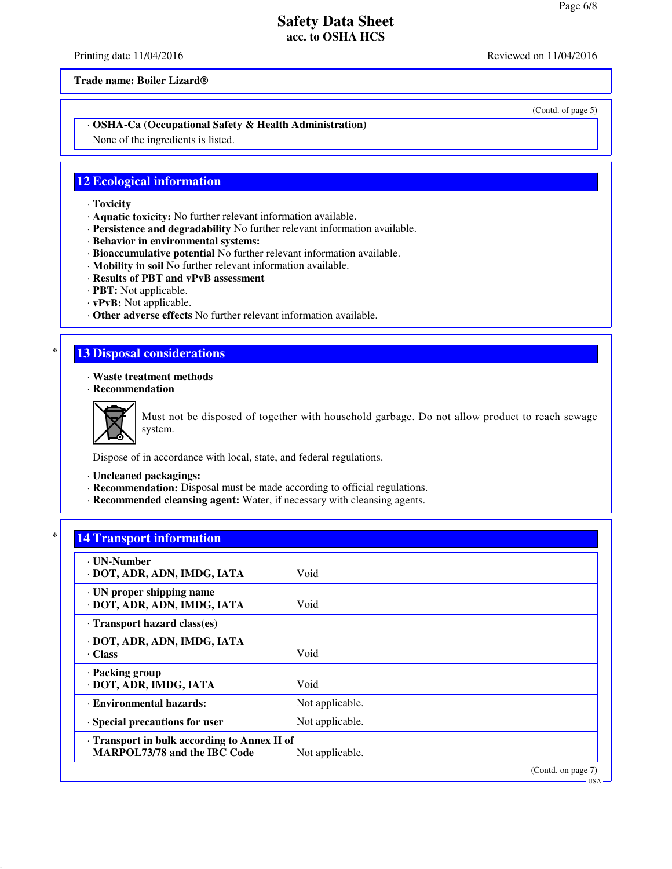Printing date 11/04/2016 **Reviewed on 11/04/2016** Reviewed on 11/04/2016

**Trade name: Boiler Lizard®**

(Contd. of page 5)

### · **OSHA-Ca (Occupational Safety & Health Administration)**

None of the ingredients is listed.

## **12 Ecological information**

- · **Toxicity**
- · **Aquatic toxicity:** No further relevant information available.
- · **Persistence and degradability** No further relevant information available.
- · **Behavior in environmental systems:**
- · **Bioaccumulative potential** No further relevant information available.
- · **Mobility in soil** No further relevant information available.
- · **Results of PBT and vPvB assessment**
- · **PBT:** Not applicable.
- · **vPvB:** Not applicable.
- · **Other adverse effects** No further relevant information available.

## **13 Disposal considerations**

- · **Waste treatment methods**
- · **Recommendation**



Must not be disposed of together with household garbage. Do not allow product to reach sewage system.

Dispose of in accordance with local, state, and federal regulations.

- · **Uncleaned packagings:**
- · **Recommendation:** Disposal must be made according to official regulations.
- · **Recommended cleansing agent:** Water, if necessary with cleansing agents.

# **14 Transport information**

| ⋅ UN-Number<br>· DOT, ADR, ADN, IMDG, IATA                                 | Void            |                    |
|----------------------------------------------------------------------------|-----------------|--------------------|
| $\cdot$ UN proper shipping name<br>· DOT, ADR, ADN, IMDG, IATA             | Void            |                    |
| · Transport hazard class(es)                                               |                 |                    |
| DOT, ADR, ADN, IMDG, IATA<br>Class                                         | Void            |                    |
| · Packing group<br>· DOT, ADR, IMDG, IATA                                  | Void            |                    |
| · Environmental hazards:                                                   | Not applicable. |                    |
| · Special precautions for user                                             | Not applicable. |                    |
| Transport in bulk according to Annex II of<br>MARPOL73/78 and the IBC Code | Not applicable. |                    |
|                                                                            |                 | (Contd. on page 7) |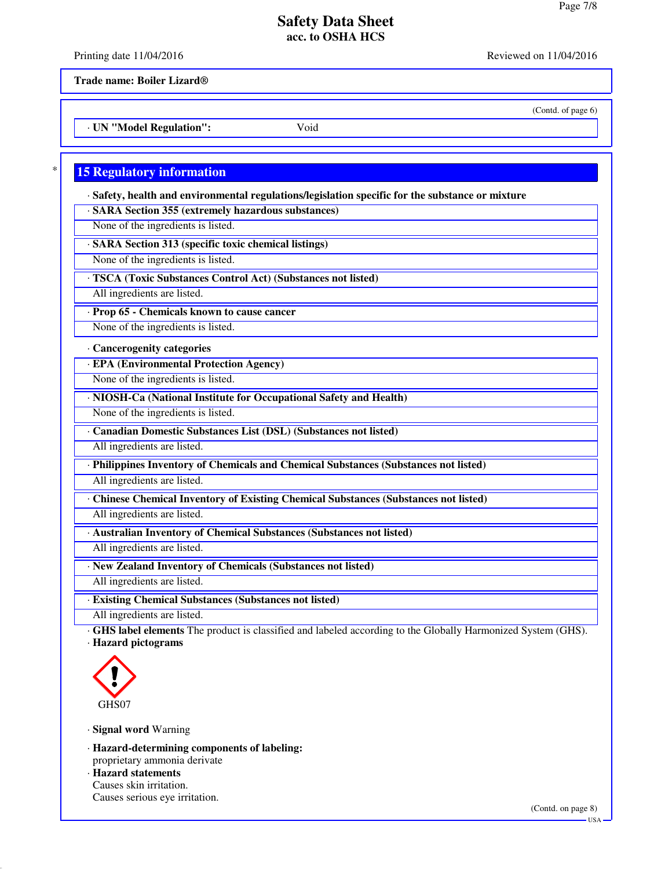Printing date 11/04/2016 **Reviewed on 11/04/2016** Reviewed on 11/04/2016

(Contd. of page 6)

**Trade name: Boiler Lizard®**

· **UN "Model Regulation":** Void

## **15 Regulatory information**

· **Safety, health and environmental regulations/legislation specific for the substance or mixture**

· **SARA Section 355 (extremely hazardous substances)**

None of the ingredients is listed.

· **SARA Section 313 (specific toxic chemical listings)**

None of the ingredients is listed.

· **TSCA (Toxic Substances Control Act) (Substances not listed)**

All ingredients are listed.

· **Prop 65 - Chemicals known to cause cancer**

None of the ingredients is listed.

### · **Cancerogenity categories**

· **EPA (Environmental Protection Agency)**

None of the ingredients is listed.

· **NIOSH-Ca (National Institute for Occupational Safety and Health)**

None of the ingredients is listed.

· **Canadian Domestic Substances List (DSL) (Substances not listed)**

All ingredients are listed.

· **Philippines Inventory of Chemicals and Chemical Substances (Substances not listed)**

All ingredients are listed.

· **Chinese Chemical Inventory of Existing Chemical Substances (Substances not listed)**

All ingredients are listed.

· **Australian Inventory of Chemical Substances (Substances not listed)**

All ingredients are listed.

· **New Zealand Inventory of Chemicals (Substances not listed)**

All ingredients are listed.

· **Existing Chemical Substances (Substances not listed)**

All ingredients are listed.

· **GHS label elements** The product is classified and labeled according to the Globally Harmonized System (GHS). · **Hazard pictograms**



· **Signal word** Warning

· **Hazard-determining components of labeling:** proprietary ammonia derivate

· **Hazard statements** Causes skin irritation. Causes serious eye irritation.